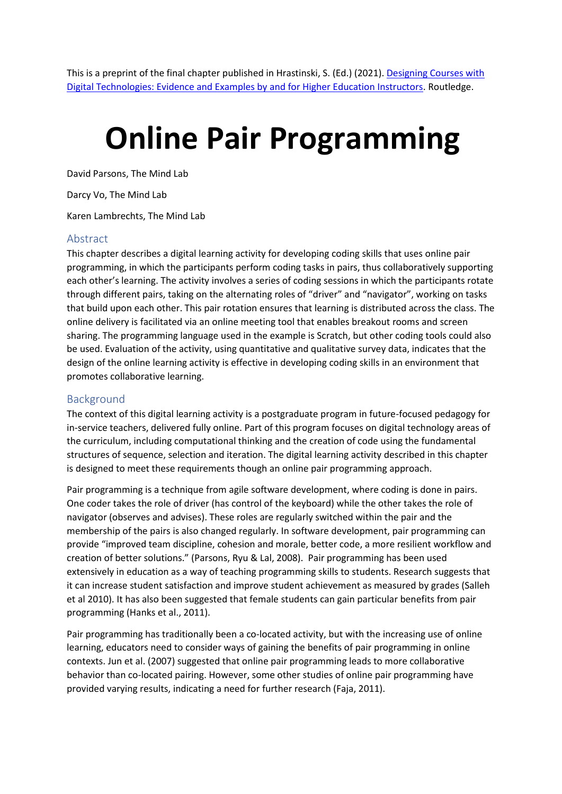This is a preprint of the final chapter published in Hrastinski, S. (Ed.) (2021). [Designing Courses with](https://www.routledge.com/Designing-Courses-with-Digital-Technologies-Insights-and-Examples-from/Hrastinski/p/book/9780367700003)  [Digital Technologies: Evidence and Examples by and for Higher Education Instructors.](https://www.routledge.com/Designing-Courses-with-Digital-Technologies-Insights-and-Examples-from/Hrastinski/p/book/9780367700003) Routledge.

# **Online Pair Programming**

David Parsons, The Mind Lab

Darcy Vo, The Mind Lab

Karen Lambrechts, The Mind Lab

#### Abstract

This chapter describes a digital learning activity for developing coding skills that uses online pair programming, in which the participants perform coding tasks in pairs, thus collaboratively supporting each other's learning. The activity involves a series of coding sessions in which the participants rotate through different pairs, taking on the alternating roles of "driver" and "navigator", working on tasks that build upon each other. This pair rotation ensures that learning is distributed across the class. The online delivery is facilitated via an online meeting tool that enables breakout rooms and screen sharing. The programming language used in the example is Scratch, but other coding tools could also be used. Evaluation of the activity, using quantitative and qualitative survey data, indicates that the design of the online learning activity is effective in developing coding skills in an environment that promotes collaborative learning.

## Background

The context of this digital learning activity is a postgraduate program in future-focused pedagogy for in-service teachers, delivered fully online. Part of this program focuses on digital technology areas of the curriculum, including computational thinking and the creation of code using the fundamental structures of sequence, selection and iteration. The digital learning activity described in this chapter is designed to meet these requirements though an online pair programming approach.

Pair programming is a technique from agile software development, where coding is done in pairs. One coder takes the role of driver (has control of the keyboard) while the other takes the role of navigator (observes and advises). These roles are regularly switched within the pair and the membership of the pairs is also changed regularly. In software development, pair programming can provide "improved team discipline, cohesion and morale, better code, a more resilient workflow and creation of better solutions." (Parsons, Ryu & Lal, 2008). Pair programming has been used extensively in education as a way of teaching programming skills to students. Research suggests that it can increase student satisfaction and improve student achievement as measured by grades (Salleh et al 2010). It has also been suggested that female students can gain particular benefits from pair programming (Hanks et al., 2011).

Pair programming has traditionally been a co-located activity, but with the increasing use of online learning, educators need to consider ways of gaining the benefits of pair programming in online contexts. Jun et al. (2007) suggested that online pair programming leads to more collaborative behavior than co-located pairing. However, some other studies of online pair programming have provided varying results, indicating a need for further research (Faja, 2011).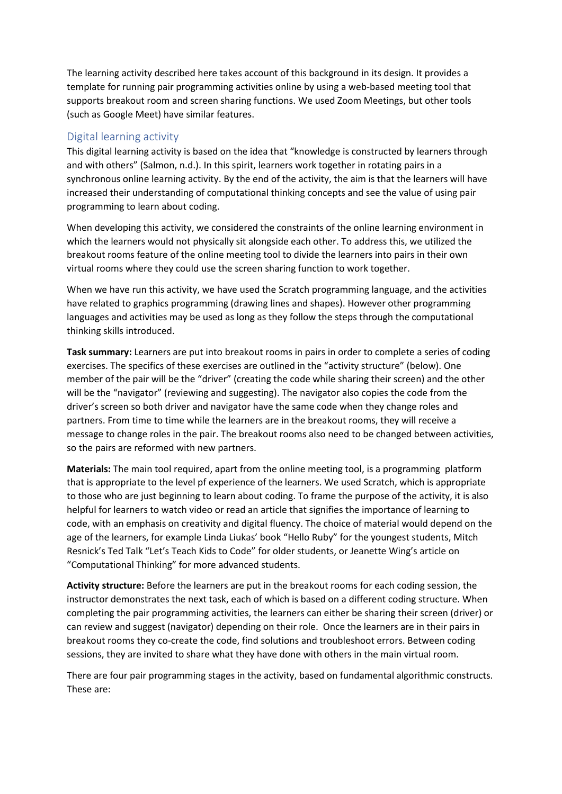The learning activity described here takes account of this background in its design. It provides a template for running pair programming activities online by using a web-based meeting tool that supports breakout room and screen sharing functions. We used Zoom Meetings, but other tools (such as Google Meet) have similar features.

## Digital learning activity

This digital learning activity is based on the idea that "knowledge is constructed by learners through and with others" (Salmon, n.d.). In this spirit, learners work together in rotating pairs in a synchronous online learning activity. By the end of the activity, the aim is that the learners will have increased their understanding of computational thinking concepts and see the value of using pair programming to learn about coding.

When developing this activity, we considered the constraints of the online learning environment in which the learners would not physically sit alongside each other. To address this, we utilized the breakout rooms feature of the online meeting tool to divide the learners into pairs in their own virtual rooms where they could use the screen sharing function to work together.

When we have run this activity, we have used the Scratch programming language, and the activities have related to graphics programming (drawing lines and shapes). However other programming languages and activities may be used as long as they follow the steps through the computational thinking skills introduced.

**Task summary:** Learners are put into breakout rooms in pairs in order to complete a series of coding exercises. The specifics of these exercises are outlined in the "activity structure" (below). One member of the pair will be the "driver" (creating the code while sharing their screen) and the other will be the "navigator" (reviewing and suggesting). The navigator also copies the code from the driver's screen so both driver and navigator have the same code when they change roles and partners. From time to time while the learners are in the breakout rooms, they will receive a message to change roles in the pair. The breakout rooms also need to be changed between activities, so the pairs are reformed with new partners.

**Materials:** The main tool required, apart from the online meeting tool, is a programming platform that is appropriate to the level pf experience of the learners. We used Scratch, which is appropriate to those who are just beginning to learn about coding. To frame the purpose of the activity, it is also helpful for learners to watch video or read an article that signifies the importance of learning to code, with an emphasis on creativity and digital fluency. The choice of material would depend on the age of the learners, for example Linda Liukas' book "Hello Ruby" for the youngest students, Mitch Resnick's Ted Talk "Let's Teach Kids to Code" for older students, or Jeanette Wing's article on "Computational Thinking" for more advanced students.

**Activity structure:** Before the learners are put in the breakout rooms for each coding session, the instructor demonstrates the next task, each of which is based on a different coding structure. When completing the pair programming activities, the learners can either be sharing their screen (driver) or can review and suggest (navigator) depending on their role. Once the learners are in their pairs in breakout rooms they co-create the code, find solutions and troubleshoot errors. Between coding sessions, they are invited to share what they have done with others in the main virtual room.

There are four pair programming stages in the activity, based on fundamental algorithmic constructs. These are: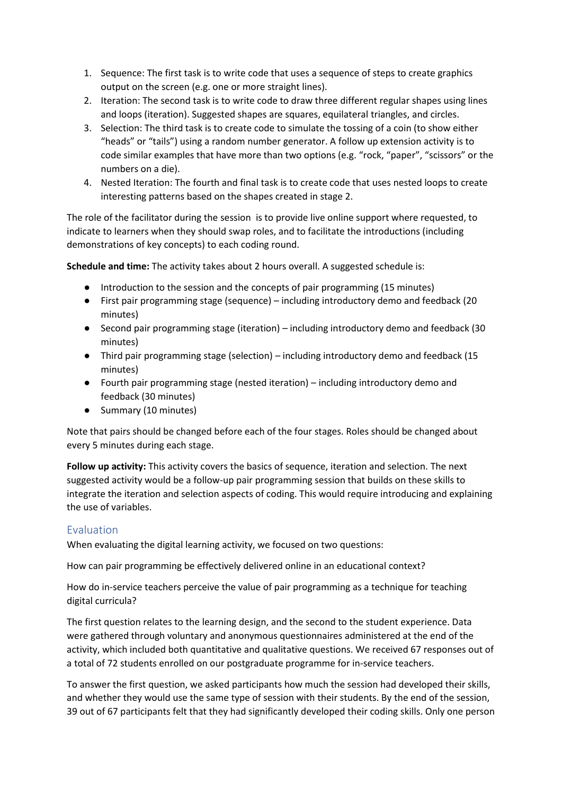- 1. Sequence: The first task is to write code that uses a sequence of steps to create graphics output on the screen (e.g. one or more straight lines).
- 2. Iteration: The second task is to write code to draw three different regular shapes using lines and loops (iteration). Suggested shapes are squares, equilateral triangles, and circles.
- 3. Selection: The third task is to create code to simulate the tossing of a coin (to show either "heads" or "tails") using a random number generator. A follow up extension activity is to code similar examples that have more than two options (e.g. "rock, "paper", "scissors" or the numbers on a die).
- 4. Nested Iteration: The fourth and final task is to create code that uses nested loops to create interesting patterns based on the shapes created in stage 2.

The role of the facilitator during the session is to provide live online support where requested, to indicate to learners when they should swap roles, and to facilitate the introductions (including demonstrations of key concepts) to each coding round.

**Schedule and time:** The activity takes about 2 hours overall. A suggested schedule is:

- Introduction to the session and the concepts of pair programming (15 minutes)
- First pair programming stage (sequence) including introductory demo and feedback (20 minutes)
- Second pair programming stage (iteration) including introductory demo and feedback (30 minutes)
- Third pair programming stage (selection) including introductory demo and feedback (15 minutes)
- Fourth pair programming stage (nested iteration) including introductory demo and feedback (30 minutes)
- Summary (10 minutes)

Note that pairs should be changed before each of the four stages. Roles should be changed about every 5 minutes during each stage.

**Follow up activity:** This activity covers the basics of sequence, iteration and selection. The next suggested activity would be a follow-up pair programming session that builds on these skills to integrate the iteration and selection aspects of coding. This would require introducing and explaining the use of variables.

## Evaluation

When evaluating the digital learning activity, we focused on two questions:

How can pair programming be effectively delivered online in an educational context?

How do in-service teachers perceive the value of pair programming as a technique for teaching digital curricula?

The first question relates to the learning design, and the second to the student experience. Data were gathered through voluntary and anonymous questionnaires administered at the end of the activity, which included both quantitative and qualitative questions. We received 67 responses out of a total of 72 students enrolled on our postgraduate programme for in-service teachers.

To answer the first question, we asked participants how much the session had developed their skills, and whether they would use the same type of session with their students. By the end of the session, 39 out of 67 participants felt that they had significantly developed their coding skills. Only one person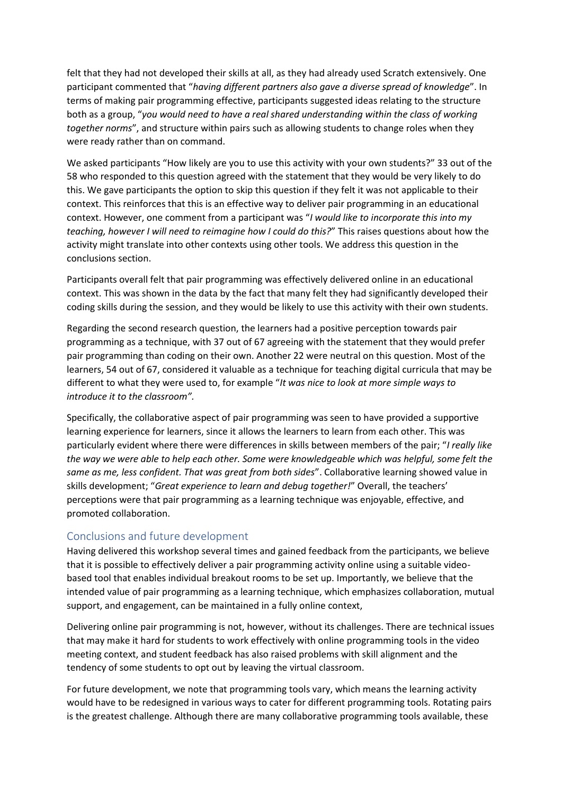felt that they had not developed their skills at all, as they had already used Scratch extensively. One participant commented that "*having different partners also gave a diverse spread of knowledge*". In terms of making pair programming effective, participants suggested ideas relating to the structure both as a group, "*you would need to have a real shared understanding within the class of working together norms*", and structure within pairs such as allowing students to change roles when they were ready rather than on command.

We asked participants "How likely are you to use this activity with your own students?" 33 out of the 58 who responded to this question agreed with the statement that they would be very likely to do this. We gave participants the option to skip this question if they felt it was not applicable to their context. This reinforces that this is an effective way to deliver pair programming in an educational context. However, one comment from a participant was "*I would like to incorporate this into my teaching, however I will need to reimagine how I could do this?*" This raises questions about how the activity might translate into other contexts using other tools. We address this question in the conclusions section.

Participants overall felt that pair programming was effectively delivered online in an educational context. This was shown in the data by the fact that many felt they had significantly developed their coding skills during the session, and they would be likely to use this activity with their own students.

Regarding the second research question, the learners had a positive perception towards pair programming as a technique, with 37 out of 67 agreeing with the statement that they would prefer pair programming than coding on their own. Another 22 were neutral on this question. Most of the learners, 54 out of 67, considered it valuable as a technique for teaching digital curricula that may be different to what they were used to, for example "*It was nice to look at more simple ways to introduce it to the classroom".*

Specifically, the collaborative aspect of pair programming was seen to have provided a supportive learning experience for learners, since it allows the learners to learn from each other. This was particularly evident where there were differences in skills between members of the pair; "*I really like the way we were able to help each other. Some were knowledgeable which was helpful, some felt the same as me, less confident. That was great from both sides*". Collaborative learning showed value in skills development; "*Great experience to learn and debug together!*" Overall, the teachers' perceptions were that pair programming as a learning technique was enjoyable, effective, and promoted collaboration.

## Conclusions and future development

Having delivered this workshop several times and gained feedback from the participants, we believe that it is possible to effectively deliver a pair programming activity online using a suitable videobased tool that enables individual breakout rooms to be set up. Importantly, we believe that the intended value of pair programming as a learning technique, which emphasizes collaboration, mutual support, and engagement, can be maintained in a fully online context,

Delivering online pair programming is not, however, without its challenges. There are technical issues that may make it hard for students to work effectively with online programming tools in the video meeting context, and student feedback has also raised problems with skill alignment and the tendency of some students to opt out by leaving the virtual classroom.

For future development, we note that programming tools vary, which means the learning activity would have to be redesigned in various ways to cater for different programming tools. Rotating pairs is the greatest challenge. Although there are many collaborative programming tools available, these